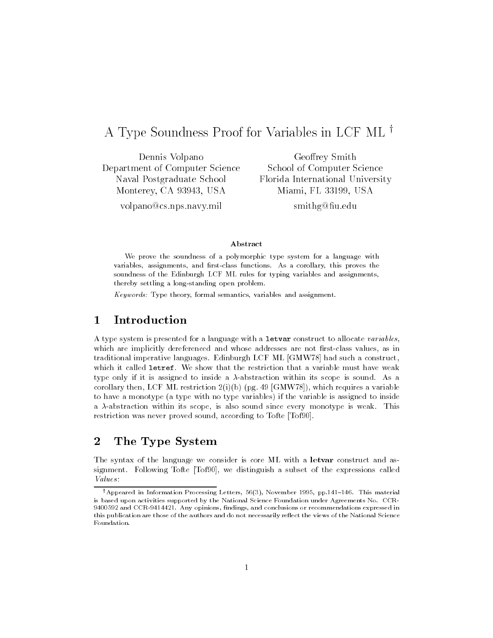# A Type Soundness Proof for Variables in LCF ML<sup> $\dagger$ </sup>

Dennis Volpano Department of Computer Science Naval Postgraduate School Monterey- CA - USA

Geoffrey Smith School of Computer Science Florida International University Miami- FL - USA

volpano@cs.nps.navy.mil

smith a smith and the contract of the contract of the contract of the contract of the contract of the contract of the contract of the contract of the contract of the contract of the contract of the contract of the contract

### Abstract

We prove the soundness of a polymorphic type system for a language with variables the proves functions of the results functions and resources, the proves the corollarysoundness of the Edinburgh LCF ML rules for typing variables and assignments, thereby settling a long-standing open problem.

Keywords- Type theory- formal semantics- variables and assignment

### $\mathbf{1}$

A type system is presented for a language with a letvar construct to allocate variables, which are implicitly distinction and whose algebra and whose and whose inter- notable and the notable  $\alpha$ traditional imperative languages. Edinburgh LCF ML  $[GMW78]$  had such a construct, which it called letref. We show that the restriction that a variable must have weak type only if it is assigned to inside a  $\lambda$ -abstraction within its scope is sound. As a restriction that the corollaristic clips are the corollar contract of the corollar corollaristic corollar coro to have a monotype (a type with no type variables) if the variable is assigned to inside a a abstraction within its scope, is also sound since each information water than restriction was never proved sound- according to Tofte Tof 

#### $\overline{2}$ The Type System

The syntax of the language we consider is core ML with a letvar construct and as signment Following Tofte Tof - we distinguish a subset of the expressions called Values

 $\pm$ Appeared in Information Processing Letters, 56(5), ivovember 1995, pp.141–146. This material is based upon activities supported by the National Science Foundation under Agreements No CCR and conclusions- and conclusions-  $\alpha$  recommendations expressed in and conclusions expressed in  $\alpha$ this publication are those of the authors and do not necessarily reflect the views of the National Science Foundation.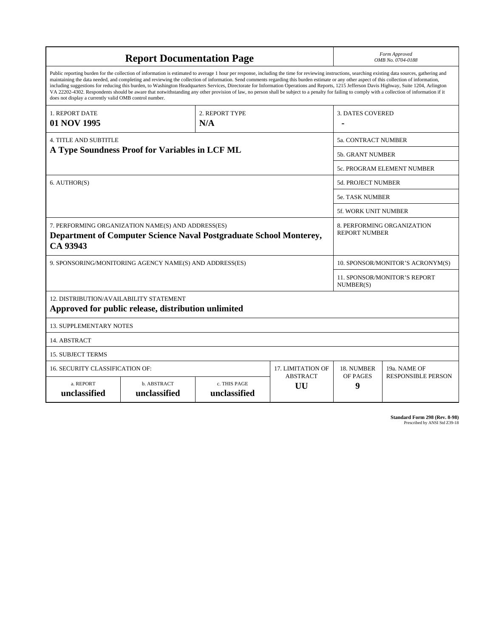| <b>Report Documentation Page</b>                                                                                                                                                                                                                                                                                                                                                                                                                                                                                                                                                                                                                                                                                                                                                                                                                                   |                             |                              |                       | Form Approved<br>OMB No. 0704-0188                 |                           |
|--------------------------------------------------------------------------------------------------------------------------------------------------------------------------------------------------------------------------------------------------------------------------------------------------------------------------------------------------------------------------------------------------------------------------------------------------------------------------------------------------------------------------------------------------------------------------------------------------------------------------------------------------------------------------------------------------------------------------------------------------------------------------------------------------------------------------------------------------------------------|-----------------------------|------------------------------|-----------------------|----------------------------------------------------|---------------------------|
| Public reporting burden for the collection of information is estimated to average 1 hour per response, including the time for reviewing instructions, searching existing data sources, gathering and<br>maintaining the data needed, and completing and reviewing the collection of information. Send comments regarding this burden estimate or any other aspect of this collection of information,<br>including suggestions for reducing this burden, to Washington Headquarters Services, Directorate for Information Operations and Reports, 1215 Jefferson Davis Highway, Suite 1204, Arlington<br>VA 22202-4302. Respondents should be aware that notwithstanding any other provision of law, no person shall be subject to a penalty for failing to comply with a collection of information if it<br>does not display a currently valid OMB control number. |                             |                              |                       |                                                    |                           |
| 1. REPORT DATE                                                                                                                                                                                                                                                                                                                                                                                                                                                                                                                                                                                                                                                                                                                                                                                                                                                     | 2. REPORT TYPE              |                              |                       | <b>3. DATES COVERED</b>                            |                           |
| 01 NOV 1995                                                                                                                                                                                                                                                                                                                                                                                                                                                                                                                                                                                                                                                                                                                                                                                                                                                        | N/A                         |                              |                       |                                                    |                           |
| <b>4. TITLE AND SUBTITLE</b>                                                                                                                                                                                                                                                                                                                                                                                                                                                                                                                                                                                                                                                                                                                                                                                                                                       |                             |                              |                       | 5a. CONTRACT NUMBER                                |                           |
| A Type Soundness Proof for Variables in LCF ML                                                                                                                                                                                                                                                                                                                                                                                                                                                                                                                                                                                                                                                                                                                                                                                                                     |                             |                              |                       | <b>5b. GRANT NUMBER</b>                            |                           |
|                                                                                                                                                                                                                                                                                                                                                                                                                                                                                                                                                                                                                                                                                                                                                                                                                                                                    |                             |                              |                       | 5c. PROGRAM ELEMENT NUMBER                         |                           |
| 6. AUTHOR(S)                                                                                                                                                                                                                                                                                                                                                                                                                                                                                                                                                                                                                                                                                                                                                                                                                                                       |                             |                              |                       | <b>5d. PROJECT NUMBER</b>                          |                           |
|                                                                                                                                                                                                                                                                                                                                                                                                                                                                                                                                                                                                                                                                                                                                                                                                                                                                    |                             |                              |                       | <b>5e. TASK NUMBER</b>                             |                           |
|                                                                                                                                                                                                                                                                                                                                                                                                                                                                                                                                                                                                                                                                                                                                                                                                                                                                    |                             |                              |                       | <b>5f. WORK UNIT NUMBER</b>                        |                           |
| 7. PERFORMING ORGANIZATION NAME(S) AND ADDRESS(ES)<br>Department of Computer Science Naval Postgraduate School Monterey,<br>CA 93943                                                                                                                                                                                                                                                                                                                                                                                                                                                                                                                                                                                                                                                                                                                               |                             |                              |                       | 8. PERFORMING ORGANIZATION<br><b>REPORT NUMBER</b> |                           |
| 9. SPONSORING/MONITORING AGENCY NAME(S) AND ADDRESS(ES)                                                                                                                                                                                                                                                                                                                                                                                                                                                                                                                                                                                                                                                                                                                                                                                                            |                             |                              |                       | 10. SPONSOR/MONITOR'S ACRONYM(S)                   |                           |
|                                                                                                                                                                                                                                                                                                                                                                                                                                                                                                                                                                                                                                                                                                                                                                                                                                                                    |                             |                              |                       | <b>11. SPONSOR/MONITOR'S REPORT</b><br>NUMBER(S)   |                           |
| 12. DISTRIBUTION/AVAILABILITY STATEMENT<br>Approved for public release, distribution unlimited                                                                                                                                                                                                                                                                                                                                                                                                                                                                                                                                                                                                                                                                                                                                                                     |                             |                              |                       |                                                    |                           |
| <b>13. SUPPLEMENTARY NOTES</b>                                                                                                                                                                                                                                                                                                                                                                                                                                                                                                                                                                                                                                                                                                                                                                                                                                     |                             |                              |                       |                                                    |                           |
| 14. ABSTRACT                                                                                                                                                                                                                                                                                                                                                                                                                                                                                                                                                                                                                                                                                                                                                                                                                                                       |                             |                              |                       |                                                    |                           |
| <b>15. SUBJECT TERMS</b>                                                                                                                                                                                                                                                                                                                                                                                                                                                                                                                                                                                                                                                                                                                                                                                                                                           |                             |                              |                       |                                                    |                           |
| 16. SECURITY CLASSIFICATION OF:                                                                                                                                                                                                                                                                                                                                                                                                                                                                                                                                                                                                                                                                                                                                                                                                                                    | <b>17. LIMITATION OF</b>    | 18. NUMBER                   | 19a. NAME OF          |                                                    |                           |
| a. REPORT<br>unclassified                                                                                                                                                                                                                                                                                                                                                                                                                                                                                                                                                                                                                                                                                                                                                                                                                                          | b. ABSTRACT<br>unclassified | c. THIS PAGE<br>unclassified | <b>ABSTRACT</b><br>UU | OF PAGES<br>9                                      | <b>RESPONSIBLE PERSON</b> |

**Standard Form 298 (Rev. 8-98)**<br>Prescribed by ANSI Std Z39-18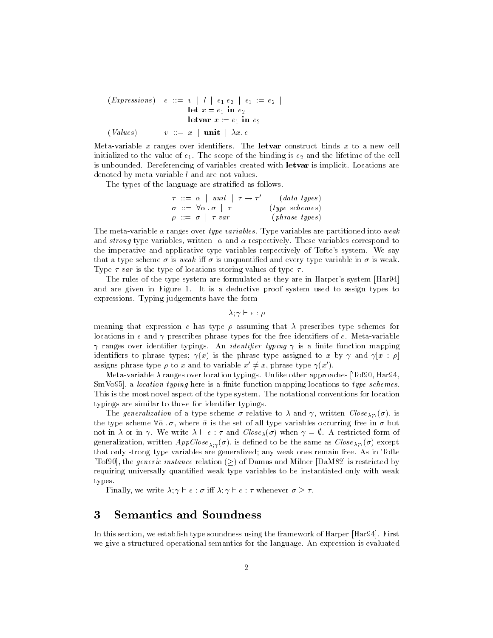$$
\begin{array}{rcl}\n(Ex \text{p} \text{r} \text{e} & \text{if } v \mid l \mid e_1 \text{e}_2 \mid e_1 \text{ } := \text{ } e_2 \mid \\
& \text{let } x = e_1 \text{ in } e_2 \mid \\
& \text{let } \text{var } x := e_1 \text{ in } e_2 \mid \\
& (\text{Values}) \qquad v ::= x \mid \text{unit} \mid \lambda x. e\n\end{array}
$$

Meta-variable x ranges over identifiers. The letvar construct binds x to a new cell initialized to the value of e The scope of the binding is e- and the lifetime of the cell is unbounded. Dereferencing of variables created with letvar is implicit. Locations are denoted by meta-variable  $l$  and are not values.

The types of the language are stratified as follows.

$$
\begin{array}{rcl}\n\tau & ::= & \alpha \mid \mathit{unit} \mid \tau \rightarrow \tau' \quad \text{(data types)} \\
\sigma & ::= & \forall \alpha \cdot \sigma \mid \tau \quad \text{(type schemes)} \\
\rho & ::= & \sigma \mid \tau \mathit{var} \quad \text{(phrase types)}\n\end{array}
$$

The meta-variable  $\alpha$  ranges over type variables. Type variables are partitioned into weak and strong type variables, written is and or respectively. These variables correspond to the imperative and applicative type variables respectively of Tofte's system. We say that a type scheme  $\sigma$  is weak iff  $\sigma$  is unquantified and every type variable in  $\sigma$  is weak. Type  $\tau$  var is the type of locations storing values of type  $\tau$ .

The rules of the type system are formulated as they are in Harper's system [Har94] and are given in Figure 1. It is a deductive proof system used to assign types to expressions Typing judgements have the form

 $\lambda$ ;  $\gamma \vdash e : \rho$ 

meaning that expression  $\epsilon$  has type  $\rho$  assuming that  $\lambda$  prescribes type schemes for locations in e and  $\gamma$  prescribes phrase types for the free identifiers of e. Meta-variable ranges over identier typings An identi-er typing is a nite function mapping identifiers to phrase types;  $\gamma(x)$  is the phrase type assigned to x by  $\gamma$  and  $\gamma[x] : \rho$ assigns phrase type  $\rho$  to x and to variable  $x \neq x$ , phrase type  $\gamma(x)$ .

Metavariable ranges over location typings Unlike other approaches Tof- Har
sman the location through the second matrix is a nite function mapping to the function of the second to the second This is the most novel aspect of the type system. The notational conventions for location typings are similar to those for identifier typings.

 $\pm$  is generation of a type scheme  $\sigma$  folding to an and  $\mu$  and chosen chose  $\lambda$  ( $\mu$ ), is the type stheme for the state of he the set of the set of positions occurring free in a wat not in  $\lambda$  or in  $\gamma$ . We write  $\lambda \vdash e : \tau$  and  $Close_{\lambda}(\sigma)$  when  $\gamma = \emptyset$ . A restricted form of  $S$  are the same as  $\mathcal{L}_{A|A}(\sigma)$  , we define a set of same as  $\sigma$  to  $\sigma_{A|A}(\sigma)$  and  $\sigma_{B}(\sigma)$ that only strong type variables are generalized; any weak ones remain free. As in Tofte To the generic instance relation  $\mathcal{L}$  is the military model in the Milner Damas and Milner Damas and Mill requiring universally quantified weak type variables to be instantiated only with weak types

Finally- we write <sup>e</sup> i <sup>e</sup> whenever

## Semantics and Soundness

In this section- we establish type soundness using the framework of Harper Har
 First we give a structured operational semantics for the language An expression is evaluated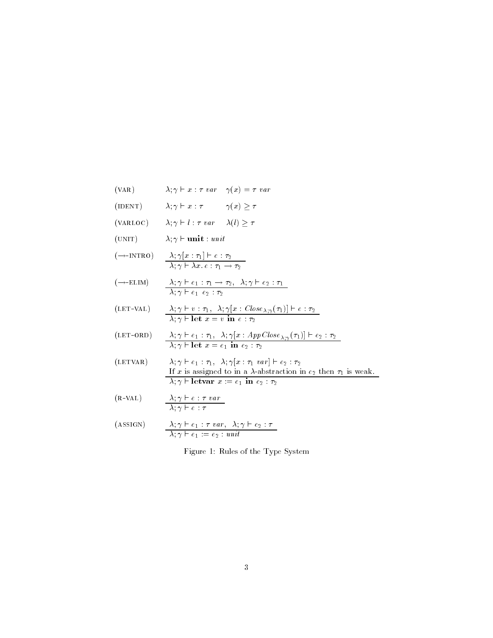(VAR)  $\lambda; \gamma \vdash x : \tau \; var \quad \gamma(x) = \tau \; var$ (IDENT)  $\lambda; \gamma \vdash x : \tau$   $\gamma(x) \geq \tau$ (VARLOC)  $\lambda; \gamma \vdash l : \tau \; var \quad \lambda(l) \geq \tau$ (UNIT)  $\lambda; \gamma \vdash \textbf{unit} : \textit{unit}$  $(\rightarrow$ -INTRO)  $\lambda$ ;  $\gamma[x:\tau_1] \vdash e:\tau_2$  $\Delta$ ,  $\gamma$  i  $\Delta$  is c ii  $\gamma$  ii  $\gamma$  ii  $\gamma$  $(\rightarrow$ -ELIM)  $\lambda; \gamma \vdash e_1 : \tau_1 \rightarrow \tau_2, \lambda; \gamma \vdash e_2 : \tau_1$  e e- -  $(LET\text{-VAL})$   $\lambda; \gamma \vdash v; \tau_1, \lambda; \gamma | x : Close_{\lambda; \gamma}(\tau_1) | \vdash e; \tau_2$  let <sup>x</sup> <sup>v</sup> in <sup>e</sup> -  $(\text{LET-ORD})$   $\lambda; \gamma \vdash e_1 : \tau_1, \lambda; \gamma | x : AppClose_{\lambda; \gamma}(\tau_1) | \vdash e_2 : \tau_2$  let <sup>x</sup> e in e- -(LETVAR)  $\lambda; \gamma \vdash e_1 : \tau_1, \lambda; \gamma[x : \tau_1 \text{ var}] \vdash e_2 : \tau_2$ If  $x$  is assigned to in a  $\alpha$  westerworden in equation  $\alpha$  is weak. letvar <sup>x</sup> e in e- -  $(R$ -VAL $)$ VAL)  $\lambda : \gamma \vdash e : \tau \; var$  <sup>e</sup> (ASSIGN)  $\lambda; \gamma \vdash e_1 : \tau \, var, \ \lambda; \gamma \vdash$ 

(ASSIGN)  

$$
\frac{\lambda; \gamma \vdash e_1 : \tau \text{ var}, \lambda; \gamma \vdash e_2 : \tau}{\lambda; \gamma \vdash e_1 := e_2 : \text{unit}}
$$

Figure 1: Rules of the Type System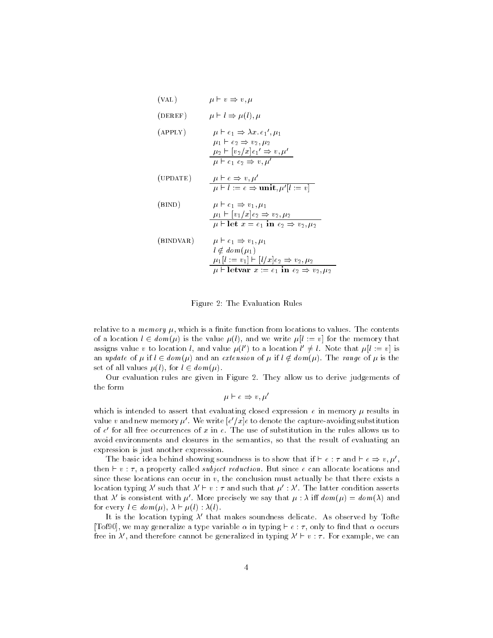$$
(VAL) \t\t \mu \vdash v \Rightarrow v, \mu
$$

$$
(\text{DEREF}) \qquad \mu \vdash l \Rightarrow \mu(l), \mu
$$

$$
\mu \vdash e_1 \Rightarrow \lambda x. e_1', \mu_1
$$
\n
$$
\mu_1 \vdash e_2 \Rightarrow v_2, \mu_2
$$
\n
$$
\mu_2 \vdash [v_2/x]e_1' \Rightarrow v, \mu'
$$
\n
$$
\mu \vdash e_1 e_2 \Rightarrow v, \mu'
$$

$$
\begin{array}{ll}\n\text{(UPDATE)} & \mu \vdash e \Rightarrow v, \mu' \\
\hline\n\mu \vdash l := e \Rightarrow \text{unit}, \mu' | l := v\n\end{array}
$$

(BIND)  
\n
$$
\mu \vdash e_1 \Rightarrow v_1, \mu_1
$$
\n
$$
\frac{\mu_1 \vdash [v_1/x]e_2 \Rightarrow v_2, \mu_2}{\mu \vdash \text{let } x = e_1 \text{ in } e_2 \Rightarrow v_2, \mu_2}
$$
\n(BINDVAR)  
\n
$$
\mu \vdash e_1 \Rightarrow v_1, \mu_1
$$
\n
$$
\mu \not\equiv e_1 \Rightarrow v_1, \mu_1
$$

$$
\mu \notin \mathit{dom}(\mu_1)
$$
\n
$$
\mu_1[l := v_1] \vdash [l/x]e_2 \Rightarrow v_2, \mu_2
$$
\n
$$
\mu \vdash \mathbf{letvar} \ x := e_1 \ \mathbf{in} \ e_2 \Rightarrow v_2, \mu_2
$$

### Figure The Evaluation Rules

relative to a memory  $\mu_1$  which is a nille radiometric from locations to values. The contents of a location  $\epsilon \in \mathbb{R}$  , we have the value  $\mu_0$   $\mu_1$  and he miles  $\mu_1$  . If  $\epsilon$  is the memory that assigns value v to location t, and value  $\mu(t)$  to a location  $t \neq t$ . Note that  $\mu(t) := v_1$  is an update of  $\mu$  if  $l \in dom(\mu)$  and an extension of  $\mu$  if  $l \notin dom(\mu)$ . The range of  $\mu$  is the set of all values l- for <sup>l</sup> dom 

Our evaluation rules are given in Figure They allow us to derive judgements of

$$
\mu \vdash e \Rightarrow v, \mu'
$$

which is intended to assert that evaluating closed expression  $\epsilon$  in memory  $\mu$  results in value  $v$  and new memory  $\mu$  . We write  $|e|/x|e$  to denote the capture-avoiding substitution of  $e$  for all free occurrences of  $x$  in  $e$  . The use of substitution in the rules allows us to  $\hspace{0.1mm}$ avoid environments and closures in the semantics-the semantics-the semantics-the result of evaluating and  $\alpha$ expression is just another expression

The basic idea behind showing soundness is to show that if  $\vdash e : \tau$  and  $\vdash e \Rightarrow v, \mu',$ then <sup>v</sup> - a property called subject reduction But since <sup>e</sup> can allocate locations and ence these locations can occur in v<sub>i</sub> the conclusion must actually se that there exists a location typing  $\lambda'$  such that  $\lambda' \vdash v : \tau$  and such that  $\mu' : \lambda'$ . The latter condition asserts that  $\lambda'$  is consistent with  $\mu'$ . More precisely we say that  $\mu : \lambda$  iff  $dom(\mu) = dom(\lambda)$  and  $\mathcal{L}$  and  $\mathcal{L}$  is the control of  $\mathcal{L}$  . In the control of  $\mathcal{L}$  is the control of  $\mathcal{L}$ 

It is the location typing  $\lambda'$  that makes soundness delicate. As observed by Tofte  $\mathcal{L}$  , we may generalle a type variable  $\alpha$  in typing  $\alpha$  . It can be matched that  $\alpha$  occurs free in  $\lambda$  , and therefore cannot be generalized in typing  $\lambda \vdash v$  :  $\tau$  , for example, we can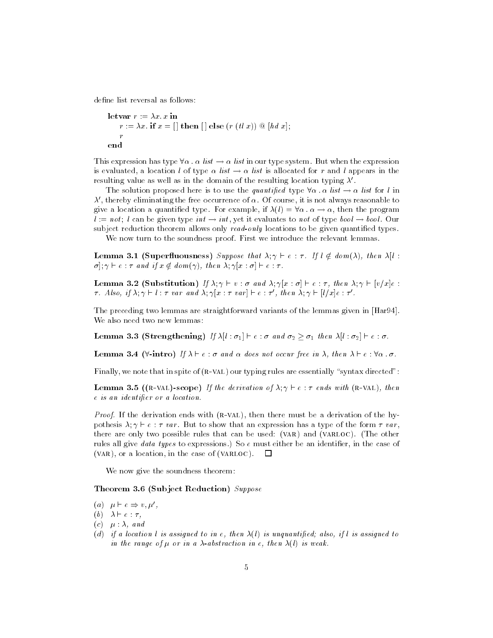define list reversal as follows:

```
letval r = \Delta x \cdot x in
    \alpha is a contracted in the second interval \alpha in \alpha in \alpharend
```
This expression has type for the mother when the expenditure in the expression of the expression is evaluated a location with  $\alpha$  were a list is allocated for random appears in the resulting value as well as in the domain of the resulting location typing  $\lambda'$ .

the solution proposed here is to use the quantified type for the two - or the for the - $\lambda$  , thereby eliminating the free occurrence of  $\alpha$  . Of course, it is not always reasonable to  $\mathbf{a}$  is a location a quantized type. For example, if  $\mathbf{a}(t) = -\mathbf{b}(t)$  and the program l interference and all can be controlled to the control of the book of the control of the control of the control of the control of the control of the control of the control of the control of the control of the control of t subject reduction theorem allows only  $read-only$  locations to be given quantified types.

We now turn to the soundness proof. First we introduce the relevant lemmas.

**Lemma 3.1** (Supermuousness) Suppose that  $A$ ,  $\uparrow$   $\uparrow$   $\in$   $\uparrow$ ,  $I$  $\uparrow$   $\in$  uvin(A), then  $A\uparrow$ .  $\sigma$ :  $\gamma$   $\vdash$  e :  $\tau$  and if  $x \notin dom(\gamma)$ , then  $\lambda$ ;  $\gamma[x : \sigma] \vdash e : \tau$ .

**Lemma 3.2** (Substitution) If  $A$ ,  $\gamma \vdash v$  ,  $v$  and  $A$ ,  $\gamma |v$  ,  $v \uparrow \vdash v$  is an  $A$ ,  $\gamma \vdash |v|$   $\psi |v|$ . T. Also, if  $\lambda$ ,  $\gamma \vdash l$  : T var and  $\lambda$ ,  $\gamma |x : \tau$  var  $\mid \vdash e : \tau$  , then  $\lambda$ ,  $\gamma \vdash |l/x|e : \tau$  .

The preceding two lemmas are straightforward variants of the lemmas given in [Har94]. We also need two new lemmas

**Definition**  $\mathbf{J}$ ,  $\mathbf{J}$  and  $\mathbf{J}$  and  $\mathbf{J}$  and  $\mathbf{J}$  and  $\mathbf{J}$  and  $\mathbf{J}$  are  $\mathbf{J}$  and  $\mathbf{J}$  and  $\mathbf{J}$  are  $\mathbf{J}$  and  $\mathbf{J}$  are  $\mathbf{J}$  and  $\mathbf{J}$  are  $\mathbf{J}$  and  $\mathbf{J}$  are  $\math$ 

**Lemma**  $\sigma$ **. Then**  $\sigma$   $\mu$   $\mu$   $\sigma$  is the notation of the  $\sigma$  is the  $\sigma$  is the  $\sigma$  is the  $\sigma$ .

Finally, we note that in spite of (R-VAL) our typing rules are essentially "syntax directed":

**Lemma 3.5 ((R-VAL)-scope)** If the derivation of  $\lambda$ ;  $\gamma \vdash e : \tau$  ends with (R-VAL), then e is an iasnoting or a location.

*Proof.* It the derivation ends with (R-VAL), then there must be a derivation of the hypothesis  $\lambda; \gamma \vdash e : \tau \text{ var}$ . But to show that an expression has a type of the form  $\tau \text{ var}$ . there are only two possible rules that can be used:  $(VAR)$  and  $(VARLOC)$ . (The other ruice air gree www. (gpes to expressione) so e muset either be an identifier, in the case of (VAR), or a location, in the case of (VARLOC).

We now give the soundness theorem

**Theorem 5.0** (Subject Reduction) Suppose

- (a)  $\mu \vdash e \Rightarrow v, \mu',$
- (b)  $\lambda \vdash e : \tau$ ,
- $(c)$   $\mu : \lambda$ , and
- (a) if a to cattorie to assigned to the equipment of the angulantifical atool if the assigned to in the range of  $\mu$  or in a  $\lambda$ -abstraction in e, then  $\lambda(l)$  is weak.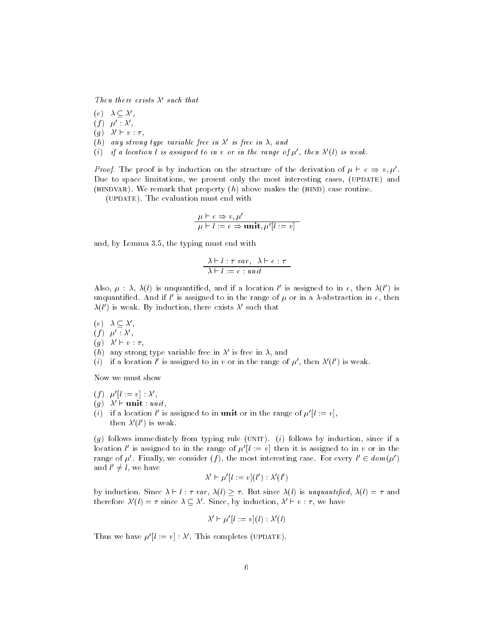Then there exists  $\lambda'$  such that

 $e \cup \lambda \subseteq \lambda'$ .

- $(f) \ \ \mu' : \lambda',$
- $(g)$   $\lambda' \vdash v : \tau$ ,
- (h) any strong type variable free in  $\lambda'$  is free in  $\lambda$ , and
- (i) if a location l is assigned to in v or in the range of  $\mu'$ , then  $\lambda'(l)$  is weak.

*Proof.* The proof is by induction on the structure of the derivation of  $\mu \vdash e \Rightarrow v, \mu'$ . Due to space limitations, we present only the most interesting cases, (UPDATE) and (BINDVAR). We remark that property  $(h)$  above makes the (BIND) case routine.

(UPDATE). The evaluation must end with

$$
\frac{\mu \vdash e \Rightarrow v, \mu'}{\mu \vdash l := e \Rightarrow \mathbf{unit}, \mu'[l := v]}
$$

and-by Lemma - the typing must end with the typing must be typing must be typing must be typing must be typing

$$
\frac{\lambda \vdash l : \tau \ var, \ \lambda \vdash e : \tau}{\lambda \vdash l := e : unit}
$$

Also,  $\mu$  :  $\lambda$ ,  $\lambda(t)$  is unquantified, and if a location  $t$  is assigned to in  $e$ , then  $\lambda(t)$  is unquantified. And if  $\iota$  is assigned to in the range of  $\mu$  or in a  $\lambda$ -abstraction in  $e,$  then  $\lambda(t)$  is weak. By induction, there exists  $\lambda$  such that

- $e \cup \lambda \subseteq \lambda$  .
- $(f)$   $\mu'$  :  $\lambda'$ ,
- $(q)$   $\lambda' \vdash v : \tau$ .
- (n) any strong type variable free in  $\lambda$  is free in  $\lambda$ , and
- $(i)$  if a location  $i$  is assigned to in  $v$  or in the range of  $\mu$  , then  $\lambda$  ( $i$  ) is weak.

Now we must show

$$
(f) \ \mu'[l := v] : \lambda',
$$

 $(g)$   $\lambda' \vdash \textbf{unit} : unit$ ,

 $(i)$  if a location l is assigned to in **unit** or in the range of  $\mu$   $\mu := v$ . then  $\lambda$  (*i* ) is weak.

(q) follows immediately from typing rule (UNIT). ( $\imath$ ) follows by induction, since if a location t is assigned to in the range of  $\mu$   $\mu$   $\; \equiv \; v\vert$  then it is assigned to in  $v$  or in the range of  $\mu$  . Finally, we consider (1), the most interesting case. For every  $\iota \in \mathit{aom}(\mu$  ) and  $\iota \neq \iota$ , we nave

$$
\lambda' \vdash \mu'[l := v](l') : \lambda'(l')
$$

 $\mathcal{L}_{\mathcal{I}}$  is defined in a state of  $\mathcal{I}_{\mathcal{I}}$  ,  $\mathcal{I}_{\mathcal{I}}$  is unductively interesting and  $\mathcal{I}_{\mathcal{I}}$ therefore  $\lambda(t) = \tau$  since  $\lambda \subseteq \lambda$ . Since, by induction,  $\lambda \in v : \tau$ , we have

$$
\lambda' \vdash \mu'[l := v](l) : \lambda'(l)
$$

Thus we have  $\mu'[l := v] : \lambda'$ . This completes (UPDATE).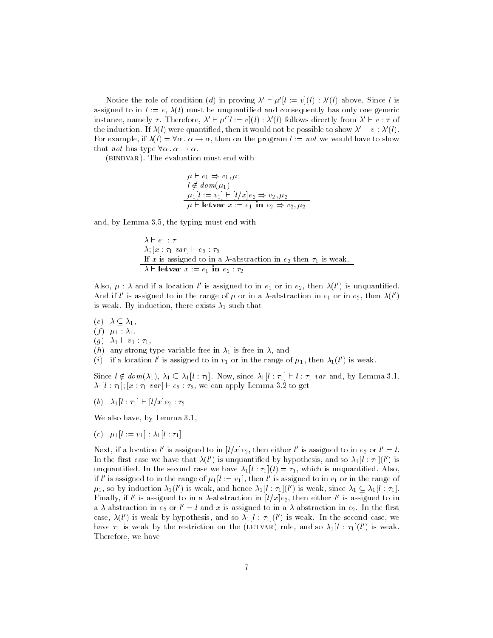Notice the role of condition (d) in proving  $\lambda' \vdash \mu' [l] := v(l) : \lambda'(l)$  above. Since l is assigned to in the epitypy must be unquantined and consequently mas only one generic instance, namely  $\tau$  . Therefore,  $\lambda \in \mu$   $\mu := v$   $\left(\iota\right)$  :  $\lambda$  (*t*) follows directly from  $\lambda \in v$  :  $\tau$  of the induction. If  $\lambda(t)$  were quantified, then it would not be possible to show  $\lambda \vdash v : \lambda(t)$ .  $\mathbf{r}$  or example, it  $\mathbf{r}(t) = \mathbf{r}(t)$  and we will show the program  $\mathbf{r}(t) = \mathbf{r}(t)$  and  $\mathbf{r}(t)$  and  $\mathbf{r}(t)$ that not has type - -

(BINDVAR). The evaluation must end with

$$
\mu \vdash e_1 \Rightarrow v_1, \mu_1
$$
  
\n
$$
l \notin dom(\mu_1)
$$
  
\n
$$
\mu_1[l := v_1] \vdash [l/x]e_2 \Rightarrow v_2, \mu_2
$$
  
\n
$$
\mu \vdash \textbf{letvar } x := e_1 \textbf{ in } e_2 \Rightarrow v_2, \mu_2
$$

and-by Lemma - the typing must end with the typing must be typing must be typing must be typing must be typing

$$
\lambda \vdash e_1 : \tau_1
$$
\n
$$
\lambda; [x : \tau_1 \text{ var}] \vdash e_2 : \tau_2
$$
\nIf  $x$  is assigned to in a  $\lambda$ -abstraction in  $e_2$  then  $\tau_1$  is weak.\n
$$
\lambda \vdash \textbf{letvar } x := e_1 \textbf{ in } e_2 : \tau_2
$$

A iso,  $\mu$  :  $\lambda$  and it a location  $\iota$  is assigned to in  $e_1$  or in  $e_2$ , then  $\lambda(\iota$  ) is unquantined. And if this assigned to in the range of  $\mu$  or in a  $\lambda$ -abstraction in  $e_1$  or in  $e_2$ , then  $\lambda(t_1)$  $t$  weak By induction, there exists  $t$ , such that

- $\mathbf{v}$
- $(f)$   $\mu_1 : \lambda_1$
- $(g)$   $\lambda_1 \vdash v_1 : \tau_1$ ,
- $\mathcal{L}(\alpha)$  any strong type variable free in  $\alpha_1$  is free in  $\alpha_1$  and
- (*i*) if a location  $\iota$  is assigned to in  $v_1$  or in the range of  $\mu_1$ , then  $\lambda_1(\iota$  ) is weak.

 $\beta$  interaction and  $\beta$  is a since line line line in the line line  $\beta$  in  $\beta$  . Since  $\beta$  is a since  $\beta$  $\alpha$  ,  $\alpha$  ,  $\alpha$  ,  $\alpha$  ,  $\alpha$  ,  $\alpha$  ,  $\alpha$  ,  $\alpha$  ,  $\alpha$  ,  $\alpha$  ,  $\alpha$  ,  $\alpha$  ,  $\alpha$  ,  $\alpha$  ,  $\alpha$ 

<sup>b</sup> l l x e- -

where the contract of the contract of  $\mathbb{R}^n$ 

(c)  $\mu_1[l := v_1] : \lambda_1[l : \tau_1]$ 

 $\lceil \log \log n \rceil$  is assigned to  $\ln \lceil l/x \rceil$ e<sub>2</sub>, then either this assigned to  $\ln e_2$  or  $l = l$ . In the first case we have that  $\lambda(t)$  is unquantified by hypothesis, and so  $\lambda_1(t:\tau_1)(t)$  is  $\mathbf{u}$  and  $\mathbf{u}$  are second case we have lifter lift. The which is unducurrent time, if this assigned to in the range of  $\mu_1$  (  $:= v_1$  ), then this assigned to in  $v_1$  or in the range of  $\mu_1$ , so by induction  $\lambda_1(i$  ) is weak, and nence  $\lambda_1[i]:\tau_1[(i])$  is weak, since  $\lambda_1\subseteq \lambda_1[i]:\tau_1[.$ Finally, if this assigned to in a A-abstraction in  $\left| l/x \right| \ell_2$ , then either this assigned to in a a-abstraction in  $e_2$  or  $\iota = \iota$  and  $x$  is assigned to in a a-abstraction in  $e_2$ . In the first case,  $\lambda(t$  ) is weak by hypothesis, and so  $\lambda_1[t:\tau_1](t$  ) is weak. In the second case, we have  $\tau_1$  is weak by the restriction on the (LETVAR) rule, and so  $\lambda_1 | l : \tau_1 | (l')$  is weak. Therefore, we have the control of the control of the control of the control of the control of the control of the control of the control of the control of the control of the control of the control of the control of the cont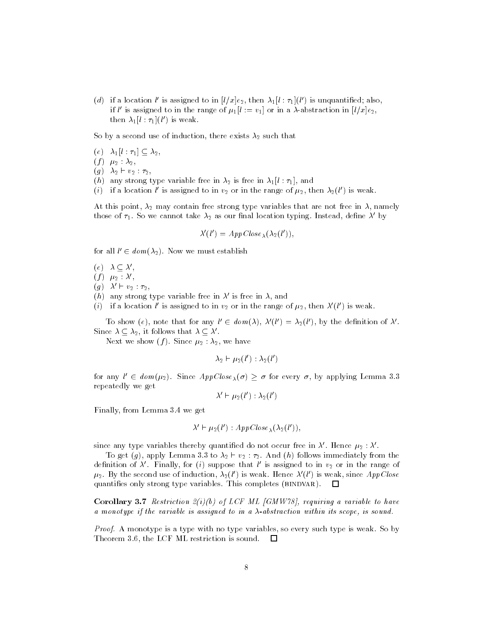(a) if a location  $\iota$  is assigned to in  $\mu/x$  (eq. then  $\lambda_1|\iota:\tau_1|(\iota$  ) is unquantined; also, if this assigned to in the range of  $\mu_1|\iota := v_1|$  or in a A-abstraction in  $|\iota / x|e_2|$ , then  $\lambda_1 | l : \tau_1 | (l-)$  is weak.

 $S$  is  $\mathcal{S}$  , a second use of induction, that is that that  $\mathcal{S}$ 

<sup>e</sup> l --

 $\mathbf{y}$  is the set of  $\mathbf{y}$ 

<sup>g</sup> - v- --

 $\mathcal{L}(\alpha)$  any strong type variable free in  $\alpha_2$  is free in  $\alpha_1$  ,  $\alpha_1$  , and

(*i*) if a location  $\iota$  is assigned to in  $v_2$  or in the range of  $\mu_2$ , then  $\lambda_2(\iota$  ) is weak.

 $\ldots$  and point-  $\ldots$  may contain free strong type variables that are not free in  $\ldots$  namely those of  $\tau_1$ . So we cannot take  $\lambda_2$  as our linal location typing. Instead, define  $\lambda$  by

$$
\lambda'(l') = A \, p \, \text{Close}_{\lambda}(\lambda_2(l')),
$$

for all  $\ell \in \mathit{aom}(\lambda_2)$ . Now we must establish

 $e \cup \lambda \subseteq \lambda$  .

 $(f)$   $\mu_2$   $\lambda$ 

 $(g)$   $\lambda \vdash v_2 : \tau_2$ ,

(n) any strong type variable free in  $\lambda$  is free in  $\lambda$ , and

(*i*) if a location  $\iota$  is assigned to in  $v_2$  or in the range of  $\mu_2$ , then  $\lambda$  (*i* ) is weak.

To snow (e), note that for any  $t \in \mathit{dom}(\lambda), \lambda(t) = \lambda_2(t)$ , by the definition of  $\lambda$ . Since  $\lambda \subseteq \lambda_2$ , it follows that  $\lambda \subseteq \lambda$ .

 $\ldots$  we show  $\eta$  , we have  $\mu_2$  and  $\ldots$ 

 $\lambda_2 \vdash \mu_2(\ell) : \lambda_2(\ell)$ 

for any  $l \in \mathit{dom}(\mu_2)$ . Since  $\mathit{AppClose}_\lambda(\sigma) \geq \sigma$  for every  $\sigma$ , by applying Lemma 3.3 repeatedly we get

$$
\lambda' \vdash \mu_2(l') : \lambda_2(l')
$$

Finally- from Lemma 
 we get

$$
\lambda' \vdash \mu_2(l'): AppClose_{\lambda}(\lambda_2(l')),
$$

since any type variables thereby quantified do not occur free in  $\lambda$  . Hence  $\mu_2$  :  $\lambda$  .

 $\mathcal{L}$  apply a change of  $\mathcal{L}_2$  ,  $\mathcal{L}_2$  ,  $\mathcal{L}_3$  and  $\mathcal{L}_4$  follows immediately from the definition of  $\lambda$  . Finally, for (*t*) suppose that  $\iota$  is assigned to in  $v_2$  or in the range of  $\mu_2$  by the second use of induction,  $\lambda_2(t$  ) is weak. Hence  $\lambda$  (*t*) is weak, since  $\overline{Appcose}$ quantifies only strong type variables. This completes (BINDVAR).  $\Box$ 

Corollary  $\sigma$ . Restriction  $\omega$  (Fig. of LCF Tan form to  $\mu$  requiring a variable to have a monotype if the variable is assigned to in a  $\lambda$ -abstraction within its scope, is sound.

Proof A monotype is a type with no type variables- so every such type is weak So by Theorem - the LCF ML restriction is sound